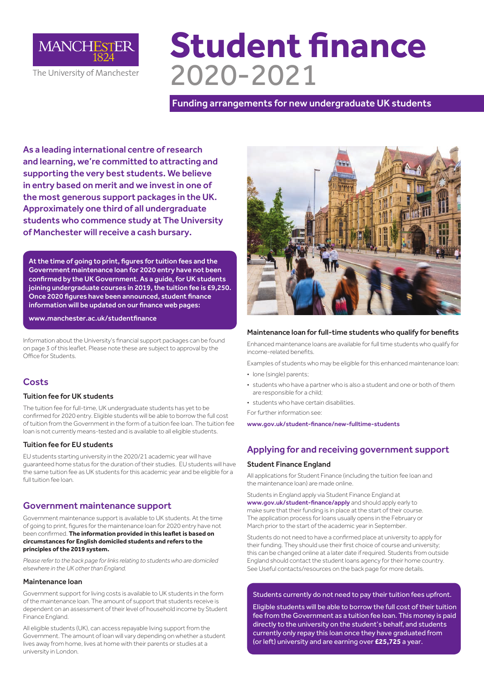

# **Student finance**  2020-2021

Funding arrangements for new undergraduate UK students

As a leading international centre of research and learning, we're committed to attracting and supporting the very best students. We believe in entry based on merit and we invest in one of the most generous support packages in the UK. Approximately one third of all undergraduate students who commence study at The University of Manchester will receive a cash bursary.

At the time of going to print, figures for tuition fees and the Government maintenance loan for 2020 entry have not been confirmed by the UK Government. As a guide, for UK students joining undergraduate courses in 2019, the tuition fee is £9,250. Once 2020 figures have been announced, student finance information will be updated on our finance web pages:

www.manchester.ac.uk/studentfinance

Information about the University's financial support packages can be found on page 3 of this leaflet. Please note these are subject to approval by the Office for Students.

## **Costs**

## Tuition fee for UK students

The tuition fee for full-time, UK undergraduate students has yet to be confirmed for 2020 entry. Eligible students will be able to borrow the full cost of tuition from the Government in the form of a tuition fee loan. The tuition fee loan is not currently means-tested and is available to all eligible students.

## Tuition fee for EU students

EU students starting university in the 2020/21 academic year will have guaranteed home status for the duration of their studies. EU students will have the same tuition fee as UK students for this academic year and be eligible for a full tuition fee loan.

## Government maintenance support

Government maintenance support is available to UK students. At the time of going to print, figures for the maintenance loan for 2020 entry have not been confirmed. **The information provided in this leaflet is based on circumstances for English domiciled students and refers to the principles of the 2019 system.**

*Please refer to the back page for links relating to students who are domiciled elsewhere in the UK other than England.*

## Maintenance loan

Government support for living costs is available to UK students in the form of the maintenance loan. The amount of support that students receive is dependent on an assessment of their level of household income by Student Finance England.

All eligible students (UK), can access repayable living support from the Government. The amount of loan will vary depending on whether a student lives away from home, lives at home with their parents or studies at a university in London.



## Maintenance loan for full-time students who qualify for benefits

Enhanced maintenance loans are available for full time students who qualify for income-related benefits.

Examples of students who may be eligible for this enhanced maintenance loan:

- lone (single) parents;
- students who have a partner who is also a student and one or both of them are responsible for a child;
- students who have certain disabilities.

For further information see:

www.gov.uk/student-finance/new-fulltime-students

# Applying for and receiving government support

## Student Finance England

All applications for Student Finance (including the tuition fee loan and the maintenance loan) are made online.

Students in England apply via Student Finance England at www.gov.uk/student-finance/apply and should apply early to make sure that their funding is in place at the start of their course. The application process for loans usually opens in the February or March prior to the start of the academic year in September.

Students do not need to have a confirmed place at university to apply for their funding. They should use their first choice of course and university; this can be changed online at a later date if required. Students from outside England should contact the student loans agency for their home country. See Useful contacts/resources on the back page for more details.

## Students currently do not need to pay their tuition fees upfront.

Eligible students will be able to borrow the full cost of their tuition fee from the Government as a tuition fee loan. This money is paid directly to the university on the student's behalf, and students currently only repay this loan once they have graduated from (or left) university and are earning over **£25,725** a year.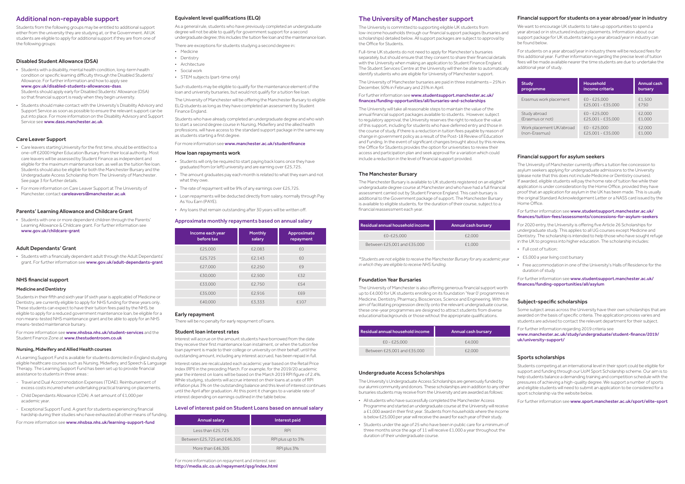## Additional non-repayable support

Students from the following groups may be entitled to additional support either from the university they are studying at, or the Government. All UK students are eligible to apply for additional support if they are from one of the following groups:

## Disabled Student Allowance (DSA)

• Students should make contact with the University's Disability Advisory and Support Service as soon as possible to ensure the relevant support can be put into place. For more information on the Disability Advisory and Support Service see www.dass.manchester.ac.uk

• Students with a disability, mental health condition, long-term health condition or specific learning difficulty through the Disabled Students' Allowance. For further information and how to apply see www.gov.uk/disabled-students-allowances-dsas.

- Care leavers starting University for the first time, should be entitled to a one-off £2000 Higher Education Bursary from their local authority. Most care leavers will be assessed by Student Finance as independent and eligible for the maximum maintenance loan, as well as the tuition fee loan. Students should also be eligible for both the Manchester Bursary and the Undergraduate Access Scholarship from The University of Manchester. See page 3 for further details.
- For more information on Care Leaver Support at The University of Manchester, contact **careleavers@manchester.ac.uk**

Students should apply early for Disabled Students' Allowance (DSA) so that financial support is ready when they begin university.

• Students with a financially dependent adult through the Adult Dependants' grant. For further information see www.gov.uk/adult-dependants-grant

## Care Leaver Support

A Learning Support Fund is available for students domiciled in England studying eligible healthcare courses such as Nursing, Midwifery, and Speech & Language Therapy. The Learning Support Fund has been set up to provide financial assistance to students in three areas

## Parents' Learning Allowance and Childcare Grant

• Students with one or more dependent children through the Parents' Learning Allowance & Childcare grant. For further information see www.gov.uk/childcare-grant

## Adult Dependants' Grant

## NHS financial support

## Medicine and Dentistry

## For further information see www.studentsupport.manchester.ac.uk/ finances/funding-opportunities/all/bursaries-and-scholarships

Students in their fifth and sixth year (if sixth year is applicable) of Medicine or Dentistry, are currently eligible to apply for NHS funding for these years only. These students can expect to have their tuition fees paid by the NHS, be eligible to apply for a reduced government maintenance loan, be eligible for a non means-tested NHS maintenance grant and be able to apply for an NHS means-tested maintenance bursary.

For more information see www.nhsbsa.nhs.uk/student-services and the Student Finance Zone at www.thestudentroom.co.uk

#### Nursing, Midwifery and Allied Health courses

The Manchester Bursary is available to UK students registered on an eligible\* undergraduate degree course at Manchester and who have had a full financial assessment carried out by Student Finance England. This cash bursary is additional to the Government package of support. The Manchester Bursary is available to eligible students, for the duration of their course, subject to a financial reassessment each year.

- Travel and Dual Accommodation Expenses (TDAE). Reimbursement of excess costs incurred when undertaking practical training on placements.
- Child Dependants Allowance (CDA). A set amount of £1,000 per academic year.
- Exceptional Support Fund. A grant for students experiencing financial hardship during their studies who have exhausted all other means of funding.

For more information see www.nhsbsa.nhs.uk/learning-support-fund

## The University of Manchester support

The University is committed to supporting eligible UK students from low-income households through our financial support packages (bursaries and scholarships) detailed below. All support packages are subject to approval by the Office for Students.

Full-time UK students do not need to apply for Manchester's bursaries separately, but should ensure that they consent to share their financial details with the University when making an application to Student Finance England. The Student Services Centre at the University will then be able to automatically identify students who are eligible for University of Manchester support.

The University of Manchester bursaries are paid in three instalments – 25% in December, 50% in February and 25% in April.

## For further information see www.studentsupport.manchester.ac.uk/ finances/tuition-fees/assessments/concessions-for-asylum-seekers

For further information see www.studentsupport.manchester.ac.uk/ finances/funding-opportunities/all/asylum

The University will take all reasonable steps to maintain the value of the annual financial support packages available to students. However, subject to regulatory approval, the University reserves the right to reduce the value of this support, including for students who have deferred entry and those in the course of study, if there is a reduction in tuition fees payable by reason of change in government policy as a result of the Post-18 Review of Education and Funding. In the event of significant changes brought about by this review, the Office for Students provides the option for universities to review their access and participation plan and seek approval for a variation which could include a reduction in the level of financial support provided.

#### The Manchester Bursary

- Medicine
- Dentistry
- Architecture
- Social work
- STEM subjects (part-time only)

| Residual annual household income | <b>Annual cash bursary</b> |
|----------------------------------|----------------------------|
| £0-£25,000                       | £2,000                     |
| Between £25,001 and £35,000      | £1.000                     |

*\*Students are not eligible to receive the Manchester Bursary for any academic year in which they are eligible to receive NHS funding.* 

#### Foundation Year Bursaries

The University of Manchester is also offering generous financial support worth up to £4,000 for UK students enrolling on its foundation 'Year 0' programmes in Medicine, Dentistry, Pharmacy, Biosciences, Science and Engineering. With the aim of facilitating progression directly onto the relevant undergraduate course, these one-year programmes are designed to attract students from diverse educational backgrounds or those without the appropriate qualifications.

| Residual annual household income | <b>Annual cash bursary</b> |
|----------------------------------|----------------------------|
| $f0 - f25.000$                   | £4.000                     |
| Between £25,001 and £35,000      | £2.000                     |

## Undergraduate Access Scholarships

The University's Undergraduate Access Scholarships are generously funded by our alumni community and donors. These scholarships are in addition to any other bursaries students may receive from the University and are awarded as follows:

- All students who have successfully completed the Manchester Access Programme and started an undergraduate course at the University will receive a £1,000 award in their first year. Students from households where the income
- is below £25,000 per year will receive the award for each year of their study. • Students under the age of 25 who have been in public care for a minimum of three months since the age of 11 will receive £1,000 a year throughout the

duration of their undergraduate course.

## Financial support for students on a year abroad/year in industry

We want to encourage UK students to take up opportunities to spend a year abroad or in structured industry placements. Information about our support package for UK students taking a year abroad/year in industry can be found below.

For students on a year abroad/year in industry there will be reduced fees for this additional year. Further information regarding the precise level of tuition fees will be made available nearer the time students are due to undertake the additional year of study.

| <b>Study</b>             | <b>Household</b>                    | <b>Annual cash</b> |
|--------------------------|-------------------------------------|--------------------|
| programme                | income criteria                     | bursary            |
| Erasmus work placement   | $E0 - E25,000$<br>£25,001 - £35,000 | £1.500<br>£750     |
| Study abroad             | $E0 - E25,000$                      | £2,000             |
| (Erasmus or not)         | £25,001 - £35,000                   | £1,000             |
| Work placement UK/abroad | $E0 - E25,000$                      | £2,000             |
| (non-Erasmus)            | £25,001 - £35,000                   | £1,000             |

## Financial support for asylum seekers

The University of Manchester currently offers a tuition fee concession to asylum seekers applying for undergraduate admissions to the University (please note that this does not include Medicine or Dentistry courses). If awarded, eligible students will pay the home rate of tuition fee while their application is under consideration by the Home Office, provided they have proof that an application for asylum in the UK has been made. This is usually the original Standard Acknowledgement Letter or a NASS card issued by the Home Office.

For 2020 entry, the University is offering five Article 26 Scholarships for undergraduate study. This applies to all UG courses except Medicine and Dentistry. The scholarship is intended to help those who have sought refuge in the UK to progress into higher education. The scholarship includes:

- Full cost of tuition;
- £5,000 a year living cost bursary
- Free accommodation in one of the University's Halls of Residence for the duration of study

## Subject-specific scholarships

Some subject areas across the University have their own scholarships that are awarded on the basis of specific criteria. The application process varies and students are advised to contact the relevant department for their subject.

For further information regarding 2019 criteria see www.manchester.ac.uk/study/undergraduate/student-finance/2019/ uk/university-support/

## Sports scholarships

Students competing at an international level in their sport could be eligible for support and funding through our UoM Sport Scholarship scheme. Our aim is to help students balance a demanding training and competition schedule with the pressures of achieving a high-quality degree. We support a number of sports and eligible students will need to submit an application to be considered for a sport scholarship via the website below.

For further information see www.sport.manchester.ac.uk/sport/elite-sport

## Equivalent level qualifications (ELQ)

As a general rule, students who have previously completed an undergraduate degree will not be able to qualify for government support for a second undergraduate degree; this includes the tuition fee loan and the maintenance loan.

There are exceptions for students studying a second degree in:

Such students may be eligible to qualify for the maintenance element of the loan and university bursaries, but would not qualify for a tuition fee loan.

The University of Manchester will be offering the Manchester Bursary to eligible ELQ students as long as they have completed an assessment by Student Finance England.

Students who have already completed an undergraduate degree and who wish to start a second degree course in Nursing, Midwifery and the allied health professions, will have access to the standard support package in the same way as students starting a first degree.

#### For more information see www.manchester.ac.uk/studentfinance

#### How loan repayments work

- Students will only be required to start paying back loans once they have graduated from (or left) university and are earning over £25,725.
- The amount graduates pay each month is related to what they earn and not what they owe
- The rate of repayment will be 9% of any earnings over £25,725.
- Loan repayments will be deducted directly from salary, normally through Pay As You Earn (PAYE).
- Any loans that remain outstanding after 30 years will be written off.

For more information on repayment and interest see: http://media.slc.co.uk/repayment/qsg/index.html

## Approximate monthly repayments based on annual salary

| Income each year<br>before tax | <b>Monthly</b><br>salary | Approximate<br>repayment |
|--------------------------------|--------------------------|--------------------------|
| £25,000                        | £2.083                   | £0                       |
| £25,725                        | £2.143                   | f()                      |
| £27,000                        | £2,250                   | f9                       |
| £30,000                        | £2,500                   | <b>f32</b>               |
| £33,000                        | £2.750                   | £54                      |
| £35,000                        | £2.916                   | £69                      |
| £40,000                        | £3.333                   | £107                     |

## Level of interest paid on Student Loans based on annual salary

| Annual salary               | Interest paid     |
|-----------------------------|-------------------|
| Less than £25.725           | <b>RPI</b>        |
| Between £25,725 and £46,305 | RPI plus up to 3% |
| More than £46,305           | RPI plus 3%       |

#### Early repayment

There will be no penalty for early repayment of loans.

#### Student loan interest rates

Interest will accrue on the amount students have borrowed from the date they receive their first maintenance loan instalment, or when the tuition fee loan payment is made to their college or university on their behalf, until the outstanding amount, including any interest accrued, has been repaid in full.

Interest rates are recalculated each academic year based on the Retail Price Index (RPI) in the preceding March. For example, for the 2019/20 academic year the interest on loans will be based on the March 2019 RPI figure of 2.4%. While studying, students will accrue interest on their loans at a rate of RPI inflation plus 3% on the outstanding balance and this level of interest continues until the April after graduation. At this point it changes to a variable rate of interest depending on earnings outlined in the table below.